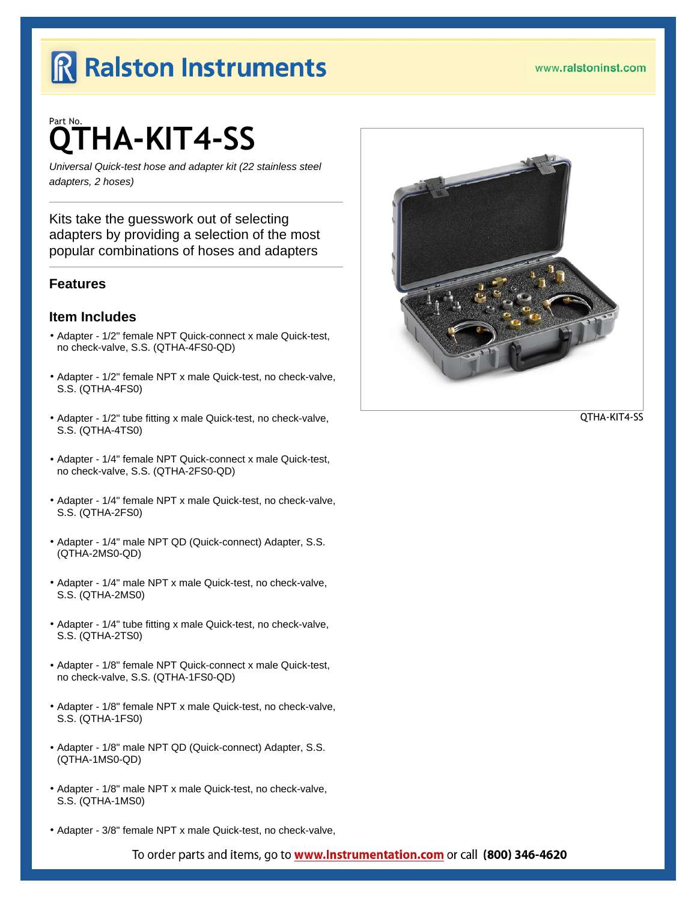# Part No. QTHA-KIT4-SS

Universal Quick-test hose and adapter kit (22 stainless steel adapters, 2 hoses)

Kits take the guesswork out of selecting adapters by providing a selection of the most popular combinations of hoses and adapters

## **Features**

### Item Includes

- º Adapter 1/2" female NPT Quick-connect x male Quick-test, no check-valve, S.S. (QTHA-4FS0-QD)
- º Adapter 1/2" female NPT x male Quick-test, no check-valve, S.S. (QTHA-4FS0)
- º Adapter 1/2" tube fitting x male Quick-test, no check-valve, S.S. (QTHA-4TS0)
- º Adapter 1/4" female NPT Quick-connect x male Quick-test, no check-valve, S.S. (QTHA-2FS0-QD)
- º Adapter 1/4" female NPT x male Quick-test, no check-valve, S.S. (QTHA-2FS0)
- º Adapter 1/4" male NPT QD (Quick-connect) Adapter, S.S. (QTHA-2MS0-QD)
- º Adapter 1/4" male NPT x male Quick-test, no check-valve, S.S. (QTHA-2MS0)
- º Adapter 1/4" tube fitting x male Quick-test, no check-valve, S.S. (QTHA-2TS0)
- º Adapter 1/8" female NPT Quick-connect x male Quick-test, no check-valve, S.S. (QTHA-1FS0-QD)
- º Adapter 1/8" female NPT x male Quick-test, no check-valve, S.S. (QTHA-1FS0)
- º Adapter 1/8" male NPT QD (Quick-connect) Adapter, S.S. (QTHA-1MS0-QD)
- º Adapter 1/8" male NPT x male Quick-test, no check-valve, S.S. (QTHA-1MS0)
- º Adapter 3/8" female NPT x male Quick-test, no check-valve,

To order parts and items, go to www.lnstrumentation.com or call (800) 346-4620

[QTHA-KIT4-S](http://www.ralstoninst.com/goto/QTHA-KIT4-SS)S